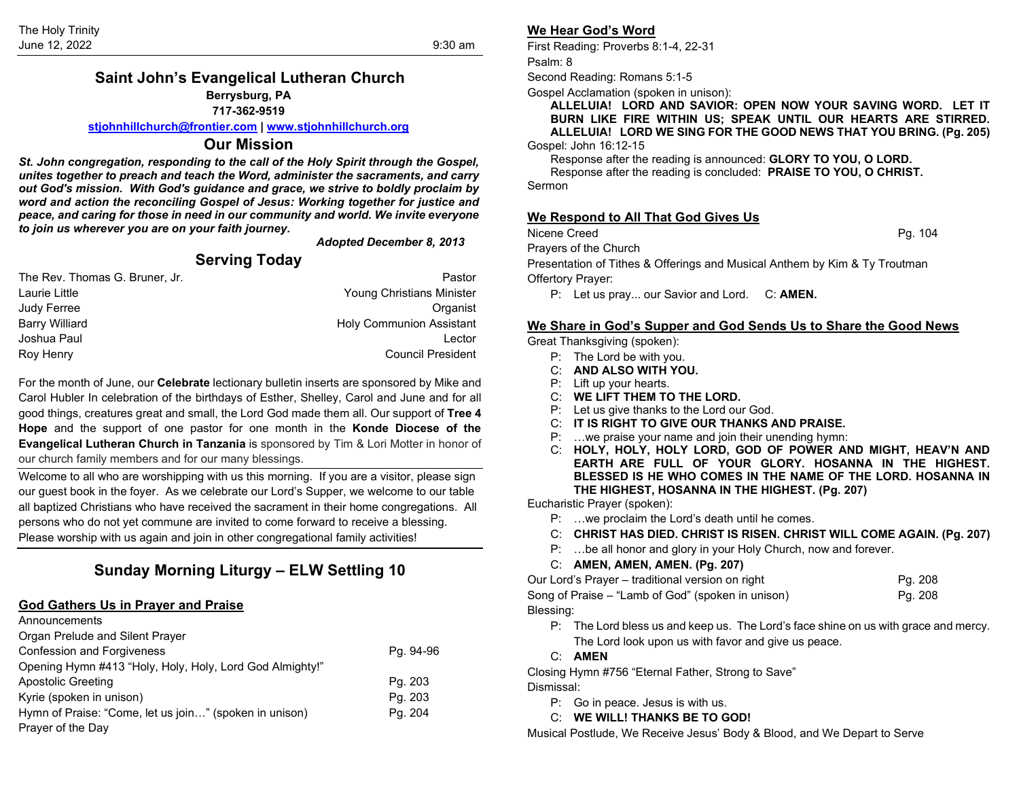## **Saint John's Evangelical Lutheran Church Berrysburg, PA 717-362-9519**

**[stjohnhillchurch@frontier.com](mailto:stjohnhillchurch@frontier.com) | [www.stjohnhillchurch.org](http://www.stjohnhillchurch.org/)**

#### **Our Mission**

*St. John congregation, responding to the call of the Holy Spirit through the Gospel, unites together to preach and teach the Word, administer the sacraments, and carry out God's mission. With God's guidance and grace, we strive to boldly proclaim by word and action the reconciling Gospel of Jesus: Working together for justice and peace, and caring for those in need in our community and world. We invite everyone to join us wherever you are on your faith journey.*

*Adopted December 8, 2013*

# **Serving Today**

| Pastor                           |
|----------------------------------|
| <b>Young Christians Minister</b> |
| Organist                         |
| <b>Holy Communion Assistant</b>  |
| Lector                           |
| <b>Council President</b>         |
|                                  |

For the month of June, our **Celebrate** lectionary bulletin inserts are sponsored by Mike and Carol Hubler In celebration of the birthdays of Esther, Shelley, Carol and June and for all good things, creatures great and small, the Lord God made them all. Our support of **Tree 4 Hope** and the support of one pastor for one month in the **Konde Diocese of the Evangelical Lutheran Church in Tanzania** is sponsored by Tim & Lori Motter in honor of our church family members and for our many blessings.

Welcome to all who are worshipping with us this morning. If you are a visitor, please sign our guest book in the foyer. As we celebrate our Lord's Supper, we welcome to our table all baptized Christians who have received the sacrament in their home congregations. All persons who do not yet commune are invited to come forward to receive a blessing. Please worship with us again and join in other congregational family activities!

# **Sunday Morning Liturgy – ELW Settling 10**

### **God Gathers Us in Prayer and Praise**

| Announcements                                            |           |
|----------------------------------------------------------|-----------|
| Organ Prelude and Silent Prayer                          |           |
| <b>Confession and Forgiveness</b>                        | Pg. 94-96 |
| Opening Hymn #413 "Holy, Holy, Holy, Lord God Almighty!" |           |
| Apostolic Greeting                                       | Pg. 203   |
| Kyrie (spoken in unison)                                 | Pg. 203   |
| Hymn of Praise: "Come, let us join" (spoken in unison)   | Pg. 204   |
| Prayer of the Day                                        |           |

## **We Hear God's Word**

First Reading: Proverbs 8:1-4, 22-31

Psalm: 8

Second Reading: Romans 5:1-5

Gospel Acclamation (spoken in unison):

**ALLELUIA! LORD AND SAVIOR: OPEN NOW YOUR SAVING WORD. LET IT BURN LIKE FIRE WITHIN US; SPEAK UNTIL OUR HEARTS ARE STIRRED. ALLELUIA! LORD WE SING FOR THE GOOD NEWS THAT YOU BRING. (Pg. 205)**

Gospel: John 16:12-15

Response after the reading is announced: **GLORY TO YOU, O LORD.**

Response after the reading is concluded: **PRAISE TO YOU, O CHRIST.** Sermon

### **We Respond to All That God Gives Us**

Nicene Creed **Pg. 104** 

Prayers of the Church

Presentation of Tithes & Offerings and Musical Anthem by Kim & Ty Troutman Offertory Prayer:

P: Let us pray... our Savior and Lord. C: **AMEN.**

#### **We Share in God's Supper and God Sends Us to Share the Good News**

Great Thanksgiving (spoken):

- P: The Lord be with you.
- C: **AND ALSO WITH YOU.**
- P: Lift up your hearts.
- C: **WE LIFT THEM TO THE LORD.**
- P: Let us give thanks to the Lord our God.
- C: **IT IS RIGHT TO GIVE OUR THANKS AND PRAISE.**
- P: …we praise your name and join their unending hymn:
- C: **HOLY, HOLY, HOLY LORD, GOD OF POWER AND MIGHT, HEAV'N AND EARTH ARE FULL OF YOUR GLORY. HOSANNA IN THE HIGHEST. BLESSED IS HE WHO COMES IN THE NAME OF THE LORD. HOSANNA IN THE HIGHEST, HOSANNA IN THE HIGHEST. (Pg. 207)**

Eucharistic Prayer (spoken):

- P: …we proclaim the Lord's death until he comes.
- C: **CHRIST HAS DIED. CHRIST IS RISEN. CHRIST WILL COME AGAIN. (Pg. 207)**
- P: …be all honor and glory in your Holy Church, now and forever.

#### C: **AMEN, AMEN, AMEN. (Pg. 207)**

| Our Lord's Prayer – traditional version on right  | Pg. 208 |
|---------------------------------------------------|---------|
| Song of Praise – "Lamb of God" (spoken in unison) | Pg. 208 |
| Blessing:                                         |         |

- P: The Lord bless us and keep us. The Lord's face shine on us with grace and mercy. The Lord look upon us with favor and give us peace.
- C: **AMEN**

Closing Hymn #756 "Eternal Father, Strong to Save" Dismissal:

P: Go in peace. Jesus is with us.

C: **WE WILL! THANKS BE TO GOD!**

Musical Postlude, We Receive Jesus' Body & Blood, and We Depart to Serve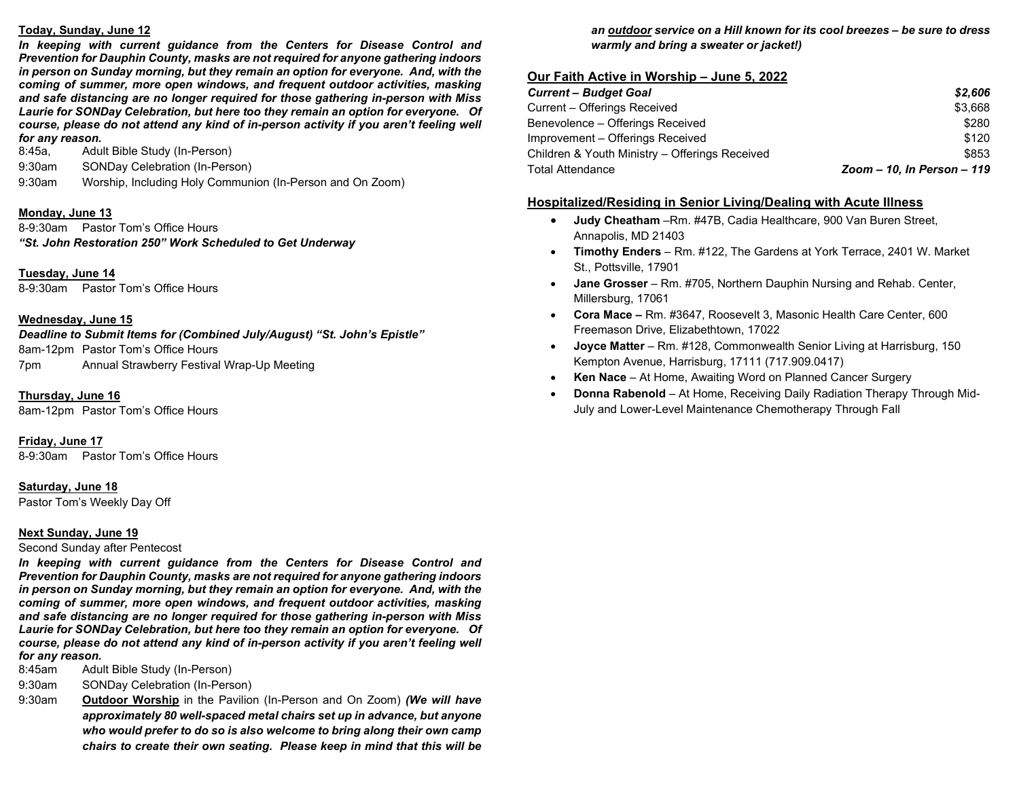#### **Today, Sunday, June 12**

In keeping with current guidance from the Centers for Disease Control and *Prevention for Dauphin County, masks are not required for anyone gathering indoors in person on Sunday morning, but they remain an option for everyone. And, with the coming of summer, more open windows, and frequent outdoor activities, masking and safe distancing are no longer required for those gathering in-person with Miss Laurie for SONDay Celebration, but here too they remain an option for everyone. Of course, please do not attend any kind of in-person activity if you aren't feeling well for any reason.* 

8:45a, Adult Bible Study (In-Person)

9:30am SONDay Celebration (In-Person)

9:30am Worship, Including Holy Communion (In-Person and On Zoom)

### **Monday, June 13**

8-9:30am Pastor Tom's Office Hours *"St. John Restoration 250" Work Scheduled to Get Underway*

## **Tuesday, June 14**

8-9:30am Pastor Tom's Office Hours

### **Wednesday, June 15**

*Deadline to Submit Items for (Combined July/August) "St. John's Epistle"* 

8am-12pm Pastor Tom's Office Hours 7pm Annual Strawberry Festival Wrap-Up Meeting

**Thursday, June 16**

8am-12pm Pastor Tom's Office Hours

**Friday, June 17**

8-9:30am Pastor Tom's Office Hours

### **Saturday, June 18**

Pastor Tom's Weekly Day Off

### **Next Sunday, June 19**

Second Sunday after Pentecost

*In keeping with current guidance from the Centers for Disease Control and Prevention for Dauphin County, masks are not required for anyone gathering indoors in person on Sunday morning, but they remain an option for everyone. And, with the coming of summer, more open windows, and frequent outdoor activities, masking and safe distancing are no longer required for those gathering in-person with Miss Laurie for SONDay Celebration, but here too they remain an option for everyone. Of course, please do not attend any kind of in-person activity if you aren't feeling well for any reason.* 

- Adult Bible Study (In-Person)
- 9:30am SONDay Celebration (In-Person)
- 9:30am **Outdoor Worship** in the Pavilion (In-Person and On Zoom) *(We will have approximately 80 well-spaced metal chairs set up in advance, but anyone who would prefer to do so is also welcome to bring along their own camp chairs to create their own seating. Please keep in mind that this will be*

## *an outdoor service on a Hill known for its cool breezes – be sure to dress warmly and bring a sweater or jacket!)*

## **Our Faith Active in Worship – June 5, 2022**

| <b>Current - Budget Goal</b>                   | \$2,606                    |
|------------------------------------------------|----------------------------|
| Current - Offerings Received                   | \$3,668                    |
| Benevolence - Offerings Received               | \$280                      |
| Improvement – Offerings Received               | \$120                      |
| Children & Youth Ministry - Offerings Received | \$853                      |
| <b>Total Attendance</b>                        | Zoom - 10, In Person - 119 |

## **Hospitalized/Residing in Senior Living/Dealing with Acute Illness**

- **Judy Cheatham** –Rm. #47B, Cadia Healthcare, 900 Van Buren Street, Annapolis, MD 21403
- **Timothy Enders**  Rm. #122, The Gardens at York Terrace, 2401 W. Market St., Pottsville, 17901
- **Jane Grosser**  Rm. #705, Northern Dauphin Nursing and Rehab. Center, Millersburg, 17061
- **Cora Mace –** Rm. #3647, Roosevelt 3, Masonic Health Care Center, 600 Freemason Drive, Elizabethtown, 17022
- **Joyce Matter**  Rm. #128, Commonwealth Senior Living at Harrisburg, 150 Kempton Avenue, Harrisburg, 17111 (717.909.0417)
- **Ken Nace**  At Home, Awaiting Word on Planned Cancer Surgery
- **Donna Rabenold**  At Home, Receiving Daily Radiation Therapy Through Mid-July and Lower-Level Maintenance Chemotherapy Through Fall